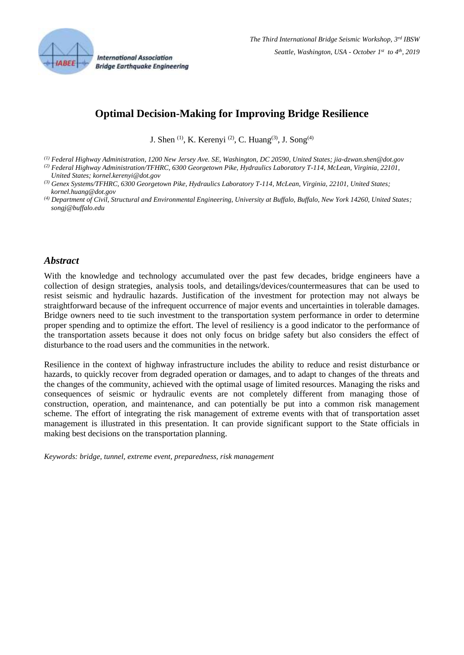

# **Optimal Decision-Making for Improving Bridge Resilience**

J. Shen <sup>(1)</sup>, K. Kerenyi <sup>(2)</sup>, C. Huang<sup>(3)</sup>, J. Song<sup>(4)</sup>

*(1) Federal Highway Administration, 1200 New Jersey Ave. SE, Washington, DC 20590, United States; jia-dzwan.shen@dot.gov*

*(2) Federal Highway Administration/TFHRC, 6300 Georgetown Pike, Hydraulics Laboratory T-114, McLean, Virginia, 22101, United States; kornel.kerenyi@dot.gov*

#### *Abstract*

With the knowledge and technology accumulated over the past few decades, bridge engineers have a collection of design strategies, analysis tools, and detailings/devices/countermeasures that can be used to resist seismic and hydraulic hazards. Justification of the investment for protection may not always be straightforward because of the infrequent occurrence of major events and uncertainties in tolerable damages. Bridge owners need to tie such investment to the transportation system performance in order to determine proper spending and to optimize the effort. The level of resiliency is a good indicator to the performance of the transportation assets because it does not only focus on bridge safety but also considers the effect of disturbance to the road users and the communities in the network.

Resilience in the context of highway infrastructure includes the ability to reduce and resist disturbance or hazards, to quickly recover from degraded operation or damages, and to adapt to changes of the threats and the changes of the community, achieved with the optimal usage of limited resources. Managing the risks and consequences of seismic or hydraulic events are not completely different from managing those of construction, operation, and maintenance, and can potentially be put into a common risk management scheme. The effort of integrating the risk management of extreme events with that of transportation asset management is illustrated in this presentation. It can provide significant support to the State officials in making best decisions on the transportation planning.

*Keywords: bridge, tunnel, extreme event, preparedness, risk management*

*<sup>(3)</sup> Genex Systems/TFHRC, 6300 Georgetown Pike, Hydraulics Laboratory T-114, McLean, Virginia, 22101, United States; kornel.huang@dot.gov*

*<sup>(4)</sup> Department of Civil, Structural and Environmental Engineering, University at Buffalo, Buffalo, New York 14260, United States; songj@buffalo.edu*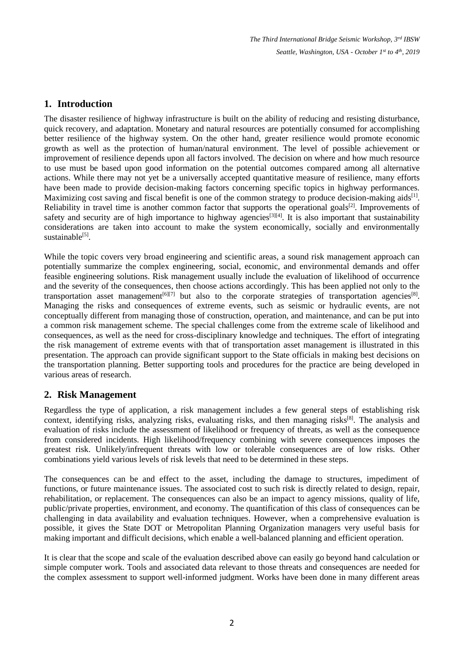*The Third International Bridge Seismic Workshop, 3rd IBSW Seattle, Washington, USA - October 1 st to 4th , 2019*

# **1. Introduction**

The disaster resilience of highway infrastructure is built on the ability of reducing and resisting disturbance, quick recovery, and adaptation. Monetary and natural resources are potentially consumed for accomplishing better resilience of the highway system. On the other hand, greater resilience would promote economic growth as well as the protection of human/natural environment. The level of possible achievement or improvement of resilience depends upon all factors involved. The decision on where and how much resource to use must be based upon good information on the potential outcomes compared among all alternative actions. While there may not yet be a universally accepted quantitative measure of resilience, many efforts have been made to provide decision-making factors concerning specific topics in highway performances. Maximizing cost saving and fiscal benefit is one of the common strategy to produce decision-making aids<sup>[\[1\]](#page-2-0)</sup>. Reliability in travel time is another common factor that supports the operational goals<sup>[\[2\]](#page-2-1)</sup>. Improvements of safety and security are of high importance to highway agencies<sup>[\[3\]](#page-2-2)[\[4\]](#page-2-3)</sup>. It is also important that sustainability considerations are taken into account to make the system economically, socially and environmentally sustainable<sup>[\[5\]](#page-2-4)</sup>.

While the topic covers very broad engineering and scientific areas, a sound risk management approach can potentially summarize the complex engineering, social, economic, and environmental demands and offer feasible engineering solutions. Risk management usually include the evaluation of likelihood of occurrence and the severity of the consequences, then choose actions accordingly. This has been applied not only to the transportation asset management<sup>[\[6\]\[](#page-3-0)[7\]](#page-3-1)</sup> but also to the corporate strategies of transportation agencies<sup>[\[8\]](#page-3-2)</sup>. Managing the risks and consequences of extreme events, such as seismic or hydraulic events, are not conceptually different from managing those of construction, operation, and maintenance, and can be put into a common risk management scheme. The special challenges come from the extreme scale of likelihood and consequences, as well as the need for cross-disciplinary knowledge and techniques. The effort of integrating the risk management of extreme events with that of transportation asset management is illustrated in this presentation. The approach can provide significant support to the State officials in making best decisions on the transportation planning. Better supporting tools and procedures for the practice are being developed in various areas of research.

# **2. Risk Management**

Regardless the type of application, a risk management includes a few general steps of establishing risk context, identifying risks, analyzing risks, evaluating risks, and then managing risks<sup>[\[8\]](#page-3-2)</sup>. The analysis and evaluation of risks include the assessment of likelihood or frequency of threats, as well as the consequence from considered incidents. High likelihood/frequency combining with severe consequences imposes the greatest risk. Unlikely/infrequent threats with low or tolerable consequences are of low risks. Other combinations yield various levels of risk levels that need to be determined in these steps.

The consequences can be and effect to the asset, including the damage to structures, impediment of functions, or future maintenance issues. The associated cost to such risk is directly related to design, repair, rehabilitation, or replacement. The consequences can also be an impact to agency missions, quality of life, public/private properties, environment, and economy. The quantification of this class of consequences can be challenging in data availability and evaluation techniques. However, when a comprehensive evaluation is possible, it gives the State DOT or Metropolitan Planning Organization managers very useful basis for making important and difficult decisions, which enable a well-balanced planning and efficient operation.

It is clear that the scope and scale of the evaluation described above can easily go beyond hand calculation or simple computer work. Tools and associated data relevant to those threats and consequences are needed for the complex assessment to support well-informed judgment. Works have been done in many different areas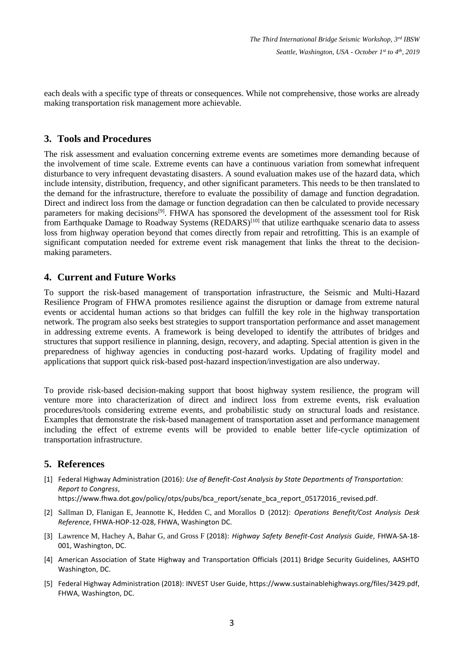each deals with a specific type of threats or consequences. While not comprehensive, those works are already making transportation risk management more achievable.

# **3. Tools and Procedures**

The risk assessment and evaluation concerning extreme events are sometimes more demanding because of the involvement of time scale. Extreme events can have a continuous variation from somewhat infrequent disturbance to very infrequent devastating disasters. A sound evaluation makes use of the hazard data, which include intensity, distribution, frequency, and other significant parameters. This needs to be then translated to the demand for the infrastructure, therefore to evaluate the possibility of damage and function degradation. Direct and indirect loss from the damage or function degradation can then be calculated to provide necessary parameters for making decisions<sup>[\[9\]](#page-3-3)</sup>. FHWA has sponsored the development of the assessment tool for Risk from Earthquake Damage to Roadway Systems (REDARS)<sup>[\[10\]](#page-3-4)</sup> that utilize earthquake scenario data to assess loss from highway operation beyond that comes directly from repair and retrofitting. This is an example of significant computation needed for extreme event risk management that links the threat to the decisionmaking parameters.

#### **4. Current and Future Works**

To support the risk-based management of transportation infrastructure, the Seismic and Multi-Hazard Resilience Program of FHWA promotes resilience against the disruption or damage from extreme natural events or accidental human actions so that bridges can fulfill the key role in the highway transportation network. The program also seeks best strategies to support transportation performance and asset management in addressing extreme events. A framework is being developed to identify the attributes of bridges and structures that support resilience in planning, design, recovery, and adapting. Special attention is given in the preparedness of highway agencies in conducting post-hazard works. Updating of fragility model and applications that support quick risk-based post-hazard inspection/investigation are also underway.

To provide risk-based decision-making support that boost highway system resilience, the program will venture more into characterization of direct and indirect loss from extreme events, risk evaluation procedures/tools considering extreme events, and probabilistic study on structural loads and resistance. Examples that demonstrate the risk-based management of transportation asset and performance management including the effect of extreme events will be provided to enable better life-cycle optimization of transportation infrastructure.

#### **5. References**

<span id="page-2-0"></span>[1] Federal Highway Administration (2016): *Use of Benefit-Cost Analysis by State Departments of Transportation: Report to Congress*,

https://www.fhwa.dot.gov/policy/otps/pubs/bca\_report/senate\_bca\_report\_05172016\_revised.pdf.

- <span id="page-2-1"></span>[2] Sallman D, Flanigan E, Jeannotte K, Hedden C, and Morallos D (2012): *Operations Benefit/Cost Analysis Desk Reference*, FHWA-HOP-12-028, FHWA, Washington DC.
- <span id="page-2-2"></span>[3] Lawrence M, Hachey A, Bahar G, and Gross F (2018): *Highway Safety Benefit-Cost Analysis Guide*, FHWA-SA-18- 001, Washington, DC.
- <span id="page-2-3"></span>[4] American Association of State Highway and Transportation Officials (2011) Bridge Security Guidelines, AASHTO Washington, DC.
- <span id="page-2-4"></span>[5] Federal Highway Administration (2018): INVEST User Guide, https://www.sustainablehighways.org/files/3429.pdf, FHWA, Washington, DC.